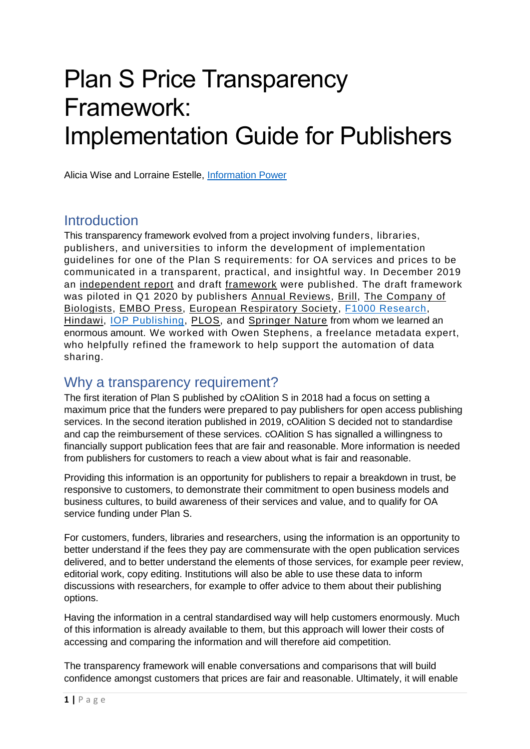# Plan S Price Transparency Framework: Implementation Guide for Publishers

Alicia Wise and Lorraine Estelle, [Information Power](https://www.informationpower.co.uk/)

## **Introduction**

This transparency framework evolved from a project involving funders, libraries, publishers, and universities to inform the development of implementation guidelines for one of the Plan S requirements: for OA services and prices to be communicated in a transparent, practical, and insightful way. In December 2019 an [independent report](https://www.informationpower.co.uk/final-report-price-transparency-project/) and draft [framework](https://www.informationpower.co.uk/price-transparency-framework/) were published. The draft framework was piloted in Q1 2020 by publishers [Annual Reviews,](https://www.annualreviews.org/) [Brill,](https://brill.com/) [The Company of](https://www.biologists.com/)  [Biologists,](https://www.biologists.com/) [EMBO Press,](http://www.embo.org/embo-press) [European Respiratory Society,](https://www.ersnet.org/) [F1000 Research,](https://f1000research.com/) [Hindawi,](https://www.hindawi.com/) [IOP Publishing,](https://ioppublishing.org/) [PLOS,](https://www.plos.org/) and [Springer Nature](https://www.springernature.com/gp) from whom we learned an enormous amount. We worked with Owen Stephens, a freelance metadata expert, who helpfully refined the framework to help support the automation of data sharing.

## Why a transparency requirement?

The first iteration of Plan S published by cOAlition S in 2018 had a focus on setting a maximum price that the funders were prepared to pay publishers for open access publishing services. In the second iteration published in 2019, cOAlition S decided not to standardise and cap the reimbursement of these services. cOAlition S has signalled a willingness to financially support publication fees that are fair and reasonable. More information is needed from publishers for customers to reach a view about what is fair and reasonable.

Providing this information is an opportunity for publishers to repair a breakdown in trust, be responsive to customers, to demonstrate their commitment to open business models and business cultures, to build awareness of their services and value, and to qualify for OA service funding under Plan S.

For customers, funders, libraries and researchers, using the information is an opportunity to better understand if the fees they pay are commensurate with the open publication services delivered, and to better understand the elements of those services, for example peer review, editorial work, copy editing. Institutions will also be able to use these data to inform discussions with researchers, for example to offer advice to them about their publishing options.

Having the information in a central standardised way will help customers enormously. Much of this information is already available to them, but this approach will lower their costs of accessing and comparing the information and will therefore aid competition.

The transparency framework will enable conversations and comparisons that will build confidence amongst customers that prices are fair and reasonable. Ultimately, it will enable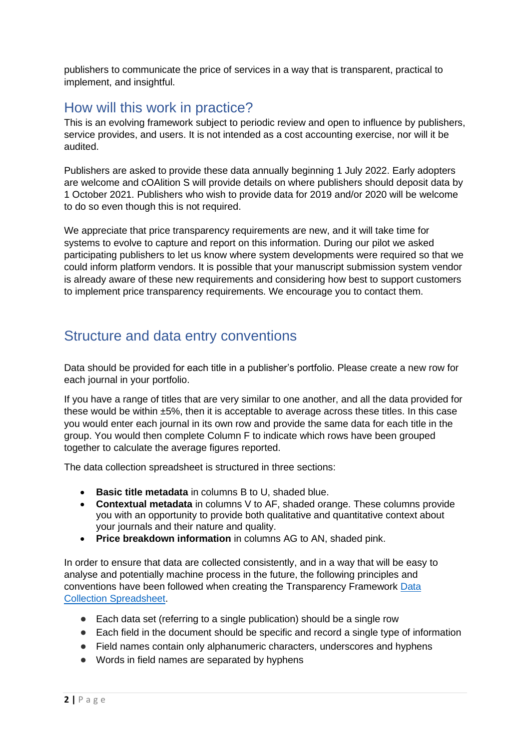publishers to communicate the price of services in a way that is transparent, practical to implement, and insightful.

# How will this work in practice?

This is an evolving framework subject to periodic review and open to influence by publishers, service provides, and users. It is not intended as a cost accounting exercise, nor will it be audited.

Publishers are asked to provide these data annually beginning 1 July 2022. Early adopters are welcome and cOAlition S will provide details on where publishers should deposit data by 1 October 2021. Publishers who wish to provide data for 2019 and/or 2020 will be welcome to do so even though this is not required.

We appreciate that price transparency requirements are new, and it will take time for systems to evolve to capture and report on this information. During our pilot we asked participating publishers to let us know where system developments were required so that we could inform platform vendors. It is possible that your manuscript submission system vendor is already aware of these new requirements and considering how best to support customers to implement price transparency requirements. We encourage you to contact them.

# Structure and data entry conventions

Data should be provided for each title in a publisher's portfolio. Please create a new row for each journal in your portfolio.

If you have a range of titles that are very similar to one another, and all the data provided for these would be within ±5%, then it is acceptable to average across these titles. In this case you would enter each journal in its own row and provide the same data for each title in the group. You would then complete Column F to indicate which rows have been grouped together to calculate the average figures reported.

The data collection spreadsheet is structured in three sections:

- **Basic title metadata** in columns B to U, shaded blue.
- **Contextual metadata** in columns V to AF, shaded orange. These columns provide you with an opportunity to provide both qualitative and quantitative context about your journals and their nature and quality.
- **Price breakdown information** in columns AG to AN, shaded pink.

In order to ensure that data are collected consistently, and in a way that will be easy to analyse and potentially machine process in the future, the following principles and conventions have been followed when creating the Transparency Framework [Data](https://www.informationpower.co.uk/the-transparency-framework-data-collection-spreadsheet/)  [Collection Spreadsheet.](https://www.informationpower.co.uk/the-transparency-framework-data-collection-spreadsheet/)

- Each data set (referring to a single publication) should be a single row
- Each field in the document should be specific and record a single type of information
- Field names contain only alphanumeric characters, underscores and hyphens
- Words in field names are separated by hyphens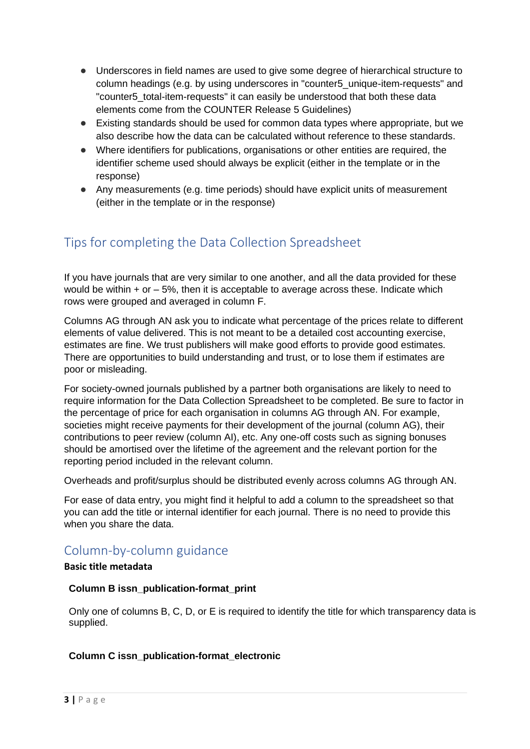- Underscores in field names are used to give some degree of hierarchical structure to column headings (e.g. by using underscores in "counter5\_unique-item-requests" and "counter5\_total-item-requests" it can easily be understood that both these data elements come from the COUNTER Release 5 Guidelines)
- Existing standards should be used for common data types where appropriate, but we also describe how the data can be calculated without reference to these standards.
- Where identifiers for publications, organisations or other entities are required, the identifier scheme used should always be explicit (either in the template or in the response)
- Any measurements (e.g. time periods) should have explicit units of measurement (either in the template or in the response)

# Tips for completing the Data Collection Spreadsheet

If you have journals that are very similar to one another, and all the data provided for these would be within  $+$  or  $-$  5%, then it is acceptable to average across these. Indicate which rows were grouped and averaged in column F.

Columns AG through AN ask you to indicate what percentage of the prices relate to different elements of value delivered. This is not meant to be a detailed cost accounting exercise, estimates are fine. We trust publishers will make good efforts to provide good estimates. There are opportunities to build understanding and trust, or to lose them if estimates are poor or misleading.

For society-owned journals published by a partner both organisations are likely to need to require information for the Data Collection Spreadsheet to be completed. Be sure to factor in the percentage of price for each organisation in columns AG through AN. For example, societies might receive payments for their development of the journal (column AG), their contributions to peer review (column AI), etc. Any one-off costs such as signing bonuses should be amortised over the lifetime of the agreement and the relevant portion for the reporting period included in the relevant column.

Overheads and profit/surplus should be distributed evenly across columns AG through AN.

For ease of data entry, you might find it helpful to add a column to the spreadsheet so that you can add the title or internal identifier for each journal. There is no need to provide this when you share the data.

## Column-by-column guidance

#### **Basic title metadata**

#### **Column B issn\_publication-format\_print**

Only one of columns B, C, D, or E is required to identify the title for which transparency data is supplied.

#### **Column C issn\_publication-format\_electronic**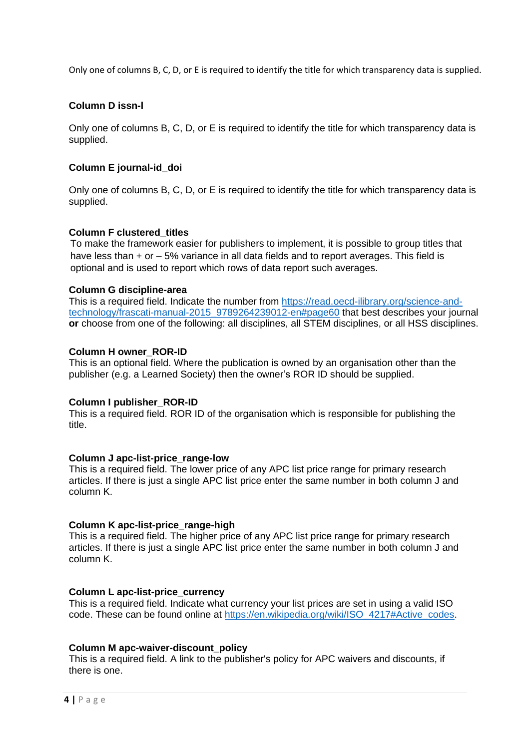Only one of columns B, C, D, or E is required to identify the title for which transparency data is supplied.

#### **Column D issn-l**

Only one of columns B, C, D, or E is required to identify the title for which transparency data is supplied.

#### **Column E journal-id\_doi**

Only one of columns B, C, D, or E is required to identify the title for which transparency data is supplied.

#### **Column F clustered\_titles**

To make the framework easier for publishers to implement, it is possible to group titles that have less than + or – 5% variance in all data fields and to report averages. This field is optional and is used to report which rows of data report such averages.

#### **Column G discipline-area**

This is a required field. Indicate the number from [https://read.oecd-ilibrary.org/science-and](https://read.oecd-ilibrary.org/science-and-technology/frascati-manual-2015_9789264239012-en#page60)[technology/frascati-manual-2015\\_9789264239012-en#page60](https://read.oecd-ilibrary.org/science-and-technology/frascati-manual-2015_9789264239012-en#page60) that best describes your journal **or** choose from one of the following: all disciplines, all STEM disciplines, or all HSS disciplines.

#### **Column H owner\_ROR-ID**

This is an optional field. Where the publication is owned by an organisation other than the publisher (e.g. a Learned Society) then the owner's ROR ID should be supplied.

#### **Column I publisher\_ROR-ID**

This is a required field. ROR ID of the organisation which is responsible for publishing the title.

#### **Column J apc-list-price\_range-low**

This is a required field. The lower price of any APC list price range for primary research articles. If there is just a single APC list price enter the same number in both column J and column K.

#### **Column K apc-list-price\_range-high**

This is a required field. The higher price of any APC list price range for primary research articles. If there is just a single APC list price enter the same number in both column J and column K.

#### **Column L apc-list-price\_currency**

This is a required field. Indicate what currency your list prices are set in using a valid ISO code. These can be found online at [https://en.wikipedia.org/wiki/ISO\\_4217#Active\\_codes.](https://en.wikipedia.org/wiki/ISO_4217%23Active_codes)

#### **Column M apc-waiver-discount\_policy**

This is a required field. A link to the publisher's policy for APC waivers and discounts, if there is one.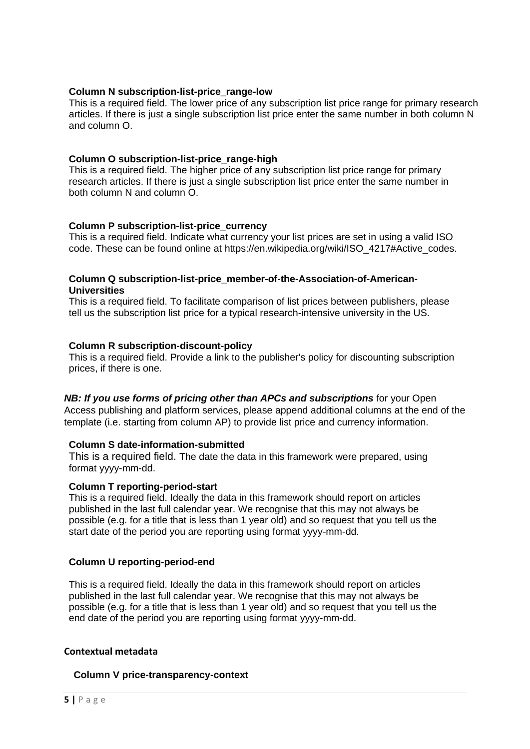#### **Column N subscription-list-price\_range-low**

This is a required field. The lower price of any subscription list price range for primary research articles. If there is just a single subscription list price enter the same number in both column N and column O.

#### **Column O subscription-list-price\_range-high**

This is a required field. The higher price of any subscription list price range for primary research articles. If there is just a single subscription list price enter the same number in both column N and column O.

#### **Column P subscription-list-price\_currency**

This is a required field. Indicate what currency your list prices are set in using a valid ISO code. These can be found online at https://en.wikipedia.org/wiki/ISO\_4217#Active\_codes.

#### **Column Q subscription-list-price\_member-of-the-Association-of-American-Universities**

This is a required field. To facilitate comparison of list prices between publishers, please tell us the subscription list price for a typical research-intensive university in the US.

#### **Column R subscription-discount-policy**

This is a required field. Provide a link to the publisher's policy for discounting subscription prices, if there is one.

#### *NB: If you use forms of pricing other than APCs and subscriptions* for your Open

Access publishing and platform services, please append additional columns at the end of the template (i.e. starting from column AP) to provide list price and currency information.

#### **Column S date-information-submitted**

This is a required field. The date the data in this framework were prepared, using format yyyy-mm-dd.

#### **Column T reporting-period-start**

This is a required field. Ideally the data in this framework should report on articles published in the last full calendar year. We recognise that this may not always be possible (e.g. for a title that is less than 1 year old) and so request that you tell us the start date of the period you are reporting using format yyyy-mm-dd.

#### **Column U reporting-period-end**

This is a required field. Ideally the data in this framework should report on articles published in the last full calendar year. We recognise that this may not always be possible (e.g. for a title that is less than 1 year old) and so request that you tell us the end date of the period you are reporting using format yyyy-mm-dd.

#### **Contextual metadata**

#### **Column V price-transparency-context**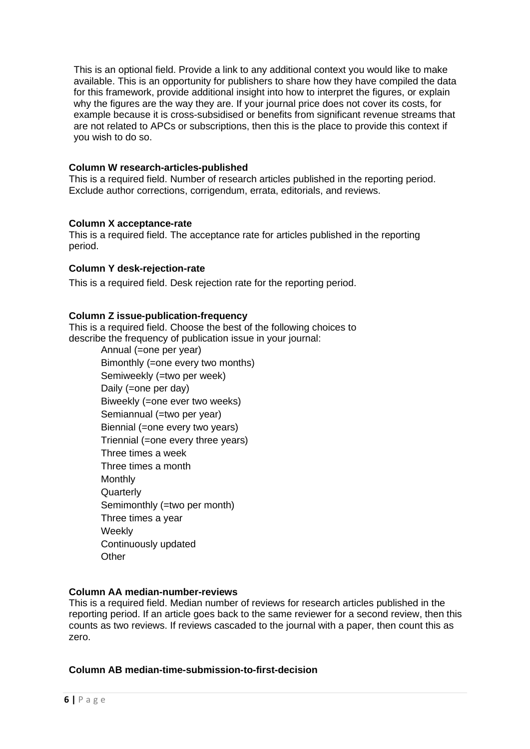This is an optional field. Provide a link to any additional context you would like to make available. This is an opportunity for publishers to share how they have compiled the data for this framework, provide additional insight into how to interpret the figures, or explain why the figures are the way they are. If your journal price does not cover its costs, for example because it is cross-subsidised or benefits from significant revenue streams that are not related to APCs or subscriptions, then this is the place to provide this context if you wish to do so.

#### **Column W research-articles-published**

This is a required field. Number of research articles published in the reporting period. Exclude author corrections, corrigendum, errata, editorials, and reviews.

#### **Column X acceptance-rate**

This is a required field. The acceptance rate for articles published in the reporting period.

#### **Column Y desk-rejection-rate**

This is a required field. Desk rejection rate for the reporting period.

#### **Column Z issue-publication-frequency**

This is a required field. Choose the best of the following choices to describe the frequency of publication issue in your journal:

> Annual (=one per year) Bimonthly (=one every two months) Semiweekly (=two per week) Daily (=one per day) Biweekly (=one ever two weeks) Semiannual (=two per year) Biennial (=one every two years) Triennial (=one every three years) Three times a week Three times a month **Monthly Quarterly** Semimonthly (=two per month) Three times a year **Weekly** Continuously updated **Other**

#### **Column AA median-number-reviews**

This is a required field. Median number of reviews for research articles published in the reporting period. If an article goes back to the same reviewer for a second review, then this counts as two reviews. If reviews cascaded to the journal with a paper, then count this as zero.

#### **Column AB median-time-submission-to-first-decision**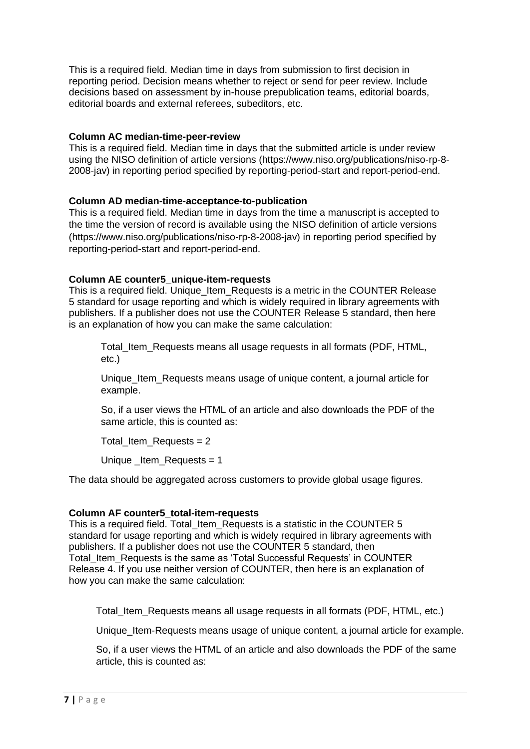This is a required field. Median time in days from submission to first decision in reporting period. Decision means whether to reject or send for peer review. Include decisions based on assessment by in-house prepublication teams, editorial boards, editorial boards and external referees, subeditors, etc.

#### **Column AC median-time-peer-review**

This is a required field. Median time in days that the submitted article is under review using the NISO definition of article versions (https://www.niso.org/publications/niso-rp-8- 2008-jav) in reporting period specified by reporting-period-start and report-period-end.

#### **Column AD median-time-acceptance-to-publication**

This is a required field. Median time in days from the time a manuscript is accepted to the time the version of record is available using the NISO definition of article versions (https://www.niso.org/publications/niso-rp-8-2008-jav) in reporting period specified by reporting-period-start and report-period-end.

#### **Column AE counter5\_unique-item-requests**

This is a required field. Unique Item Requests is a metric in the COUNTER Release 5 standard for usage reporting and which is widely required in library agreements with publishers. If a publisher does not use the COUNTER Release 5 standard, then here is an explanation of how you can make the same calculation:

Total\_Item\_Requests means all usage requests in all formats (PDF, HTML, etc.)

Unique Item Requests means usage of unique content, a journal article for example.

So, if a user views the HTML of an article and also downloads the PDF of the same article, this is counted as:

Total\_Item\_Requests = 2

Unique \_Item\_Requests = 1

The data should be aggregated across customers to provide global usage figures.

#### **Column AF counter5\_total-item-requests**

This is a required field. Total Item Requests is a statistic in the COUNTER 5 standard for usage reporting and which is widely required in library agreements with publishers. If a publisher does not use the COUNTER 5 standard, then Total\_Item\_Requests is the same as 'Total Successful Requests' in COUNTER Release 4. If you use neither version of COUNTER, then here is an explanation of how you can make the same calculation:

Total\_Item\_Requests means all usage requests in all formats (PDF, HTML, etc.)

Unique Item-Requests means usage of unique content, a journal article for example.

So, if a user views the HTML of an article and also downloads the PDF of the same article, this is counted as: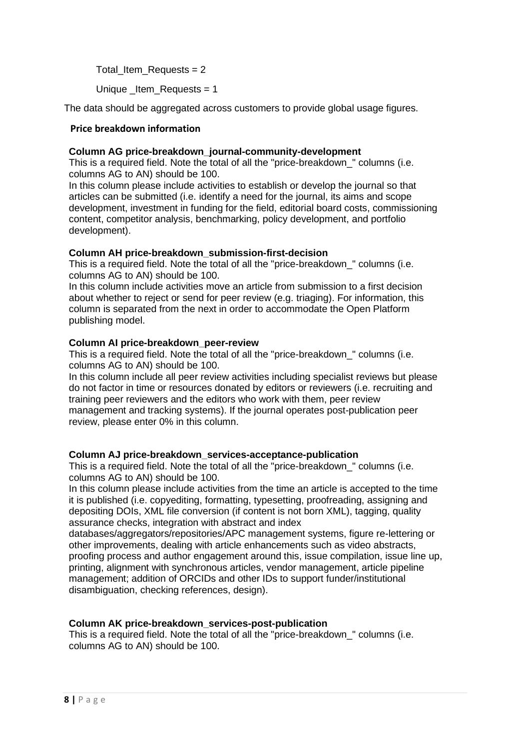Total Item Requests  $= 2$ 

Unique Item Requests  $= 1$ 

The data should be aggregated across customers to provide global usage figures.

#### **Price breakdown information**

#### **Column AG price-breakdown\_journal-community-development**

This is a required field. Note the total of all the "price-breakdown " columns (i.e. columns AG to AN) should be 100.

In this column please include activities to establish or develop the journal so that articles can be submitted (i.e. identify a need for the journal, its aims and scope development, investment in funding for the field, editorial board costs, commissioning content, competitor analysis, benchmarking, policy development, and portfolio development).

#### **Column AH price-breakdown\_submission-first-decision**

This is a required field. Note the total of all the "price-breakdown" columns (i.e. columns AG to AN) should be 100.

In this column include activities move an article from submission to a first decision about whether to reject or send for peer review (e.g. triaging). For information, this column is separated from the next in order to accommodate the Open Platform publishing model.

#### **Column AI price-breakdown\_peer-review**

This is a required field. Note the total of all the "price-breakdown " columns (i.e. columns AG to AN) should be 100.

In this column include all peer review activities including specialist reviews but please do not factor in time or resources donated by editors or reviewers (i.e. recruiting and training peer reviewers and the editors who work with them, peer review management and tracking systems). If the journal operates post-publication peer review, please enter 0% in this column.

#### **Column AJ price-breakdown\_services-acceptance-publication**

This is a required field. Note the total of all the "price-breakdown " columns (i.e. columns AG to AN) should be 100.

In this column please include activities from the time an article is accepted to the time it is published (i.e. copyediting, formatting, typesetting, proofreading, assigning and depositing DOIs, XML file conversion (if content is not born XML), tagging, quality assurance checks, integration with abstract and index

databases/aggregators/repositories/APC management systems, figure re-lettering or other improvements, dealing with article enhancements such as video abstracts, proofing process and author engagement around this, issue compilation, issue line up, printing, alignment with synchronous articles, vendor management, article pipeline management; addition of ORCIDs and other IDs to support funder/institutional disambiguation, checking references, design).

#### **Column AK price-breakdown\_services-post-publication**

This is a required field. Note the total of all the "price-breakdown\_" columns (i.e. columns AG to AN) should be 100.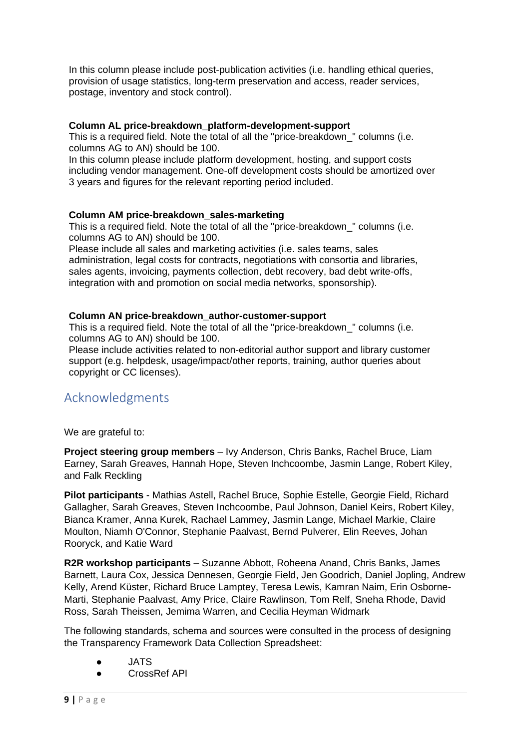In this column please include post-publication activities (i.e. handling ethical queries, provision of usage statistics, long-term preservation and access, reader services, postage, inventory and stock control).

#### **Column AL price-breakdown\_platform-development-support**

This is a required field. Note the total of all the "price-breakdown\_" columns (i.e. columns AG to AN) should be 100.

In this column please include platform development, hosting, and support costs including vendor management. One-off development costs should be amortized over 3 years and figures for the relevant reporting period included.

#### **Column AM price-breakdown\_sales-marketing**

This is a required field. Note the total of all the "price-breakdown\_" columns (i.e. columns AG to AN) should be 100.

Please include all sales and marketing activities (i.e. sales teams, sales administration, legal costs for contracts, negotiations with consortia and libraries, sales agents, invoicing, payments collection, debt recovery, bad debt write-offs, integration with and promotion on social media networks, sponsorship).

#### **Column AN price-breakdown\_author-customer-support**

This is a required field. Note the total of all the "price-breakdown\_" columns (i.e. columns AG to AN) should be 100.

Please include activities related to non-editorial author support and library customer support (e.g. helpdesk, usage/impact/other reports, training, author queries about copyright or CC licenses).

## Acknowledgments

We are grateful to:

**Project steering group members** – Ivy Anderson, Chris Banks, Rachel Bruce, Liam Earney, Sarah Greaves, Hannah Hope, Steven Inchcoombe, Jasmin Lange, Robert Kiley, and Falk Reckling

**Pilot participants** - Mathias Astell, Rachel Bruce, Sophie Estelle, Georgie Field, Richard Gallagher, Sarah Greaves, Steven Inchcoombe, Paul Johnson, Daniel Keirs, Robert Kiley, Bianca Kramer, Anna Kurek, Rachael Lammey, Jasmin Lange, Michael Markie, Claire Moulton, Niamh O'Connor, Stephanie Paalvast, Bernd Pulverer, Elin Reeves, Johan Rooryck, and Katie Ward

**R2R workshop participants** – Suzanne Abbott, Roheena Anand, Chris Banks, James Barnett, Laura Cox, Jessica Dennesen, Georgie Field, Jen Goodrich, Daniel Jopling, Andrew Kelly, Arend Küster, Richard Bruce Lamptey, Teresa Lewis, Kamran Naim, Erin Osborne-Marti, Stephanie Paalvast, Amy Price, Claire Rawlinson, Tom Relf, Sneha Rhode, David Ross, Sarah Theissen, Jemima Warren, and Cecilia Heyman Widmark

The following standards, schema and sources were consulted in the process of designing the Transparency Framework Data Collection Spreadsheet:

- JATS
- CrossRef API